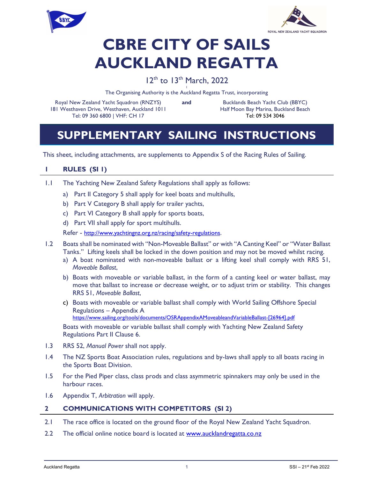



# CBRE CITY OF SAILS AUCKLAND REGATTA

## 12<sup>th</sup> to 13<sup>th</sup> March, 2022

I The Organising Authority is the Auckland Regatta Trust, incorporating

Royal New Zealand Yacht Squadron (RNZYS) 181 Westhaven Drive, Westhaven, Auckland 1011 Tel: 09 360 6800 | VHF: CH 17

and Bucklands Beach Yacht Club (BBYC) Half Moon Bay Marina, Buckland Beach Tel: 09 534 3046

# SUPPLEMENTARY SAILING INSTRUCTIONS

This sheet, including attachments, are supplements to Appendix S of the Racing Rules of Sailing.

### 1 RULES (SI 1)

- 1.1 The Yachting New Zealand Safety Regulations shall apply as follows:
	- a) Part II Category 5 shall apply for keel boats and multihulls,
	- b) Part V Category B shall apply for trailer yachts,
	- c) Part VI Category B shall apply for sports boats,
	- d) Part VII shall apply for sport multihulls.

Refer - http://www.yachtingnz.org.nz/racing/safety-regulations.

- 1.2 Boats shall be nominated with "Non-Moveable Ballast" or with "A Canting Keel" or "Water Ballast Tanks." Lifting keels shall be locked in the down position and may not be moved whilst racing.
	- a) A boat nominated with non-moveable ballast or a lifting keel shall comply with RRS 51, Moveable Ballast,
	- b) Boats with moveable or variable ballast, in the form of a canting keel or water ballast, may move that ballast to increase or decrease weight, or to adjust trim or stability. This changes RRS 51, Moveable Ballast,
	- c) Boats with moveable or variable ballast shall comply with World Sailing Offshore Special Regulations – Appendix A https://www.sailing.org/tools/documents/OSRAppendixAMoveableandVariableBallast-[26964].pdf

Boats with moveable or variable ballast shall comply with Yachting New Zealand Safety Regulations Part II Clause 6.

- 1.3 RRS 52, Manual Power shall not apply.
- 1.4 The NZ Sports Boat Association rules, regulations and by-laws shall apply to all boats racing in the Sports Boat Division.
- 1.5 For the Pied Piper class, class prods and class asymmetric spinnakers may only be used in the harbour races.
- 1.6 Appendix T, Arbitration will apply.

#### 2 COMMUNICATIONS WITH COMPETITORS (SI 2)

- 2.1 The race office is located on the ground floor of the Royal New Zealand Yacht Squadron.
- 2.2 The official online notice board is located at www.aucklandregatta.co.nz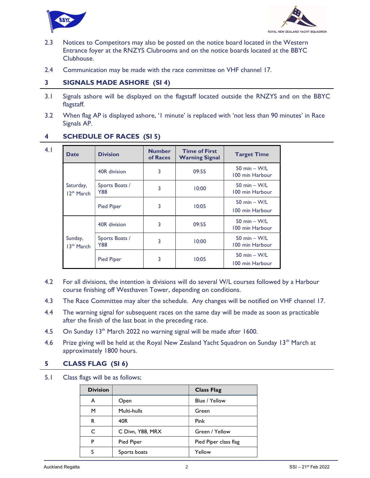



- 2.3 Notices to Competitors may also be posted on the notice board located in the Western Entrance foyer at the RNZYS Clubrooms and on the notice boards located at the BBYC Clubhouse.
- 2.4 Communication may be made with the race committee on VHF channel 17.

#### 3 SIGNALS MADE ASHORE (SI 4)

- 3.1 Signals ashore will be displayed on the flagstaff located outside the RNZYS and on the BBYC flagstaff.
- 3.2 When flag AP is displayed ashore, '1 minute' is replaced with 'not less than 90 minutes' in Race Signals AP.

### 4 SCHEDULE OF RACES (SI 5) 4.1

| <b>Date</b>                  | <b>Division</b>       | <b>Number</b><br>of Races | <b>Time of First</b><br><b>Warning Signal</b> | <b>Target Time</b>                |
|------------------------------|-----------------------|---------------------------|-----------------------------------------------|-----------------------------------|
|                              | 40R division          | 3                         | 09:55                                         | 50 min $-$ W/L<br>100 min Harbour |
| Saturday,<br>$12^{th}$ March | Sports Boats /<br>Y88 | 3                         | 10:00                                         | 50 min $-$ W/L<br>100 min Harbour |
|                              | <b>Pied Piper</b>     | 3                         | 10:05                                         | 50 min $-$ W/L<br>100 min Harbour |
|                              | 40R division          | 3                         | 09:55                                         | 50 min $-$ W/L<br>100 min Harbour |
| Sunday,<br>$13th$ March      | Sports Boats /<br>Y88 | 3                         | 10:00                                         | 50 min $-$ W/L<br>100 min Harbour |
|                              | <b>Pied Piper</b>     | 3                         | 10:05                                         | 50 min $-$ W/L<br>100 min Harbour |

- 4.2 For all divisions, the intention is divisions will do several W/L courses followed by a Harbour course finishing off Westhaven Tower, depending on conditions.
- 4.3 The Race Committee may alter the schedule. Any changes will be notified on VHF channel 17.
- 4.4 The warning signal for subsequent races on the same day will be made as soon as practicable after the finish of the last boat in the preceding race.
- 4.5 On Sunday 13<sup>th</sup> March 2022 no warning signal will be made after 1600.
- 4.6 Prize giving will be held at the Royal New Zealand Yacht Squadron on Sunday 13<sup>th</sup> March at approximately 1800 hours.

#### 5 CLASS FLAG (SI 6)

5.1 Class flags will be as follows;

| <b>Division</b> |                  | <b>Class Flag</b>     |
|-----------------|------------------|-----------------------|
| A               | Open             | Blue / Yellow         |
| м               | Multi-hulls      | Green                 |
| R               | 40R              | Pink                  |
| C               | C Divn, Y88, MRX | Green / Yellow        |
| P               | Pied Piper       | Pied Piper class flag |
|                 | Sports boats     | Yellow                |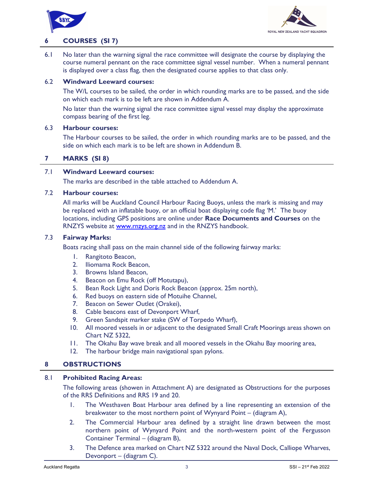



#### 6 COURSES (SI 7)

 6.1 No later than the warning signal the race committee will designate the course by displaying the course numeral pennant on the race committee signal vessel number. When a numeral pennant is displayed over a class flag, then the designated course applies to that class only.

#### 6.2 Windward Leeward courses:

The W/L courses to be sailed, the order in which rounding marks are to be passed, and the side on which each mark is to be left are shown in Addendum A.

No later than the warning signal the race committee signal vessel may display the approximate compass bearing of the first leg.

#### 6.3 Harbour courses:

The Harbour courses to be sailed, the order in which rounding marks are to be passed, and the side on which each mark is to be left are shown in Addendum B.

#### 7 MARKS (SI 8)

#### 7.1 Windward Leeward courses:

The marks are described in the table attached to Addendum A.

#### 7.2 Harbour courses:

All marks will be Auckland Council Harbour Racing Buoys, unless the mark is missing and may be replaced with an inflatable buoy, or an official boat displaying code flag 'M.' The buoy locations, including GPS positions are online under Race Documents and Courses on the RNZYS website at www.rnzys.org.nz and in the RNZYS handbook.

#### 7.3 Fairway Marks:

Boats racing shall pass on the main channel side of the following fairway marks:

- 1. Rangitoto Beacon,
- 2. Iliomama Rock Beacon,
- 3. Browns Island Beacon,
- 4. Beacon on Emu Rock (off Motutapu),
- 5. Bean Rock Light and Doris Rock Beacon (approx. 25m north),
- 6. Red buoys on eastern side of Motuihe Channel,
- 7. Beacon on Sewer Outlet (Orakei),
- 8. Cable beacons east of Devonport Wharf,
- 9. Green Sandspit marker stake (SW of Torpedo Wharf),
- 10. All moored vessels in or adjacent to the designated Small Craft Moorings areas shown on Chart NZ 5322,
- 11. The Okahu Bay wave break and all moored vessels in the Okahu Bay mooring area,
- 12. The harbour bridge main navigational span pylons.

#### 8 OBSTRUCTIONS

#### 8.1 Prohibited Racing Areas:

The following areas (showen in Attachment A) are designated as Obstructions for the purposes of the RRS Definitions and RRS 19 and 20.

- 1. The Westhaven Boat Harbour area defined by a line representing an extension of the breakwater to the most northern point of Wynyard Point – (diagram A),
- 2. The Commercial Harbour area defined by a straight line drawn between the most northern point of Wynyard Point and the north-western point of the Fergusson Container Terminal – (diagram B),
- 3. The Defence area marked on Chart NZ 5322 around the Naval Dock, Calliope Wharves, Devonport – (diagram C).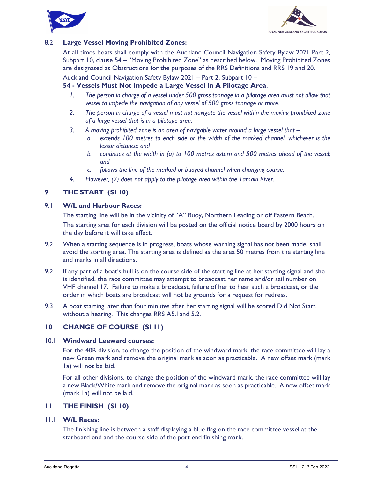



#### 8.2 Large Vessel Moving Prohibited Zones:

At all times boats shall comply with the Auckland Council Navigation Safety Bylaw 2021 Part 2, Subpart 10, clause 54 – "Moving Prohibited Zone" as described below. Moving Prohibited Zones are designated as Obstructions for the purposes of the RRS Definitions and RRS 19 and 20.

Auckland Council Navigation Safety Bylaw 2021 – Part 2, Subpart 10 –

#### 54 - Vessels Must Not Impede a Large Vessel In A Pilotage Area,

- 1. The person in charge of a vessel under 500 gross tonnage in a pilotage area must not allow that vessel to impede the navigation of any vessel of 500 gross tonnage or more.
- 2. The person in charge of a vessel must not navigate the vessel within the moving prohibited zone of a large vessel that is in a pilotage area.
- 3. A moving prohibited zone is an area of navigable water around a large vessel that  $$ 
	- a. extends 100 metres to each side or the width of the marked channel, whichever is the lessor distance; and
	- b. continues at the width in (a) to 100 metres astern and 500 metres ahead of the vessel; and
	- c. follows the line of the marked or buoyed channel when changing course.
- 4. However, (2) does not apply to the pilotage area within the Tamaki River.

#### 9 THE START (SI 10)

#### 9.1 W/L and Harbour Races:

The starting line will be in the vicinity of "A" Buoy, Northern Leading or off Eastern Beach.

The starting area for each division will be posted on the official notice board by 2000 hours on the day before it will take effect.

- 9.2 When a starting sequence is in progress, boats whose warning signal has not been made, shall avoid the starting area. The starting area is defined as the area 50 metres from the starting line and marks in all directions.
- 9.2 If any part of a boat's hull is on the course side of the starting line at her starting signal and she is identified, the race committee may attempt to broadcast her name and/or sail number on VHF channel 17. Failure to make a broadcast, failure of her to hear such a broadcast, or the order in which boats are broadcast will not be grounds for a request for redress.
- 9.3 A boat starting later than four minutes after her starting signal will be scored Did Not Start without a hearing. This changes RRS A5.1and 5.2.

#### 10 CHANGE OF COURSE (SI 11)

#### 10.1 Windward Leeward courses:

For the 40R division, to change the position of the windward mark, the race committee will lay a new Green mark and remove the original mark as soon as practicable. A new offset mark (mark 1a) will not be laid.

For all other divisions, to change the position of the windward mark, the race committee will lay a new Black/White mark and remove the original mark as soon as practicable. A new offset mark (mark 1a) will not be laid.

#### 11 THE FINISH (SI 10)

#### 11.1 W/L Races:

The finishing line is between a staff displaying a blue flag on the race committee vessel at the starboard end and the course side of the port end finishing mark.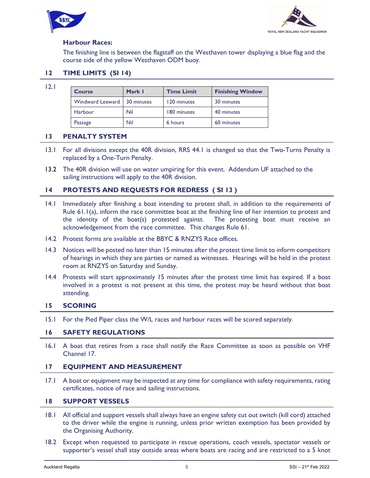



#### Harbour Races:

The finishing line is between the flagstaff on the Westhaven tower displaying a blue flag and the course side of the yellow Westhaven ODM buoy.

#### 12 TIME LIMITS (SI 14)

12.1

| <b>Course</b>           | Mark I     | <b>Time Limit</b> | <b>Finishing Window</b> |
|-------------------------|------------|-------------------|-------------------------|
| <b>Windward Leeward</b> | 30 minutes | 120 minutes       | 30 minutes              |
| Harbour                 | Nil        | 180 minutes       | 40 minutes              |
| Passage                 | Nil        | 6 hours           | 60 minutes              |

#### 13 PENALTY SYSTEM

- 13.1 For all divisions except the 40R division, RRS 44.1 is changed so that the Two-Turns Penalty is replaced by a One-Turn Penalty.
- 13.2 The 40R division will use on water umpiring for this event. Addendum UF attached to the sailing instructions will apply to the 40R division.

#### 14 PROTESTS AND REQUESTS FOR REDRESS ( SI 13 )

- 14.1 Immediately after finishing a boat intending to protest shall, in addition to the requirements of Rule 61.1(a), inform the race committee boat at the finishing line of her intention to protest and the identity of the boat(s) protested against. The protesting boat must receive an acknowledgement from the race committee. This changes Rule 61.
- 14.2 Protest forms are available at the BBYC & RNZYS Race offices.
- 14.3 Notices will be posted no later than 15 minutes after the protest time limit to inform competitors of hearings in which they are parties or named as witnesses. Hearings will be held in the protest room at RNZYS on Saturday and Sunday.
- 14.4 Protests will start approximately 15 minutes after the protest time limit has expired. If a boat involved in a protest is not present at this time, the protest may be heard without that boat attending.

#### 15 SCORING

15.1 For the Pied Piper class the W/L races and harbour races will be scored separately.

#### 16 SAFETY REGULATIONS

 16.1 A boat that retires from a race shall notify the Race Committee as soon as possible on VHF Channel 17.

#### 17 EQUIPMENT AND MEASUREMENT

 17.1 A boat or equipment may be inspected at any time for compliance with safety requirements, rating certificates, notice of race and sailing instructions.

#### 18 SUPPORT VESSELS

- 18.1 All official and support vessels shall always have an engine safety cut out switch (kill cord) attached to the driver while the engine is running, unless prior written exemption has been provided by the Organising Authority.
- 18.2 Except when requested to participate in rescue operations, coach vessels, spectator vessels or supporter's vessel shall stay outside areas where boats are racing and are restricted to a 5 knot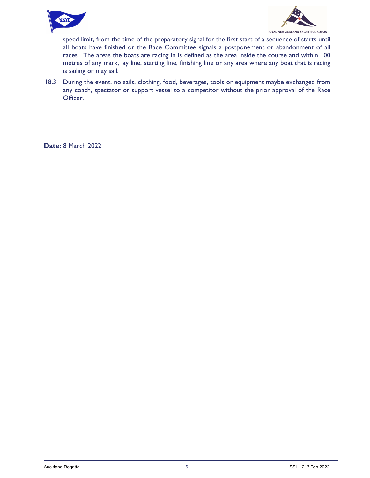



speed limit, from the time of the preparatory signal for the first start of a sequence of starts until all boats have finished or the Race Committee signals a postponement or abandonment of all races. The areas the boats are racing in is defined as the area inside the course and within 100 metres of any mark, lay line, starting line, finishing line or any area where any boat that is racing is sailing or may sail.

 18.3 During the event, no sails, clothing, food, beverages, tools or equipment maybe exchanged from any coach, spectator or support vessel to a competitor without the prior approval of the Race Officer.

Date: 8 March 2022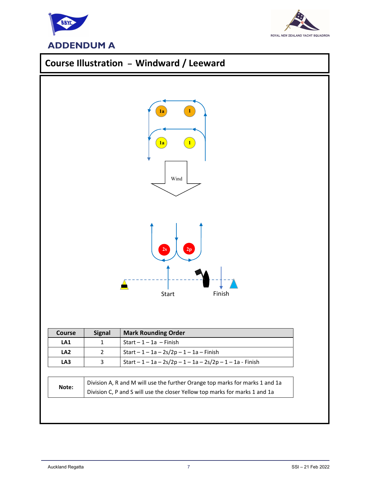



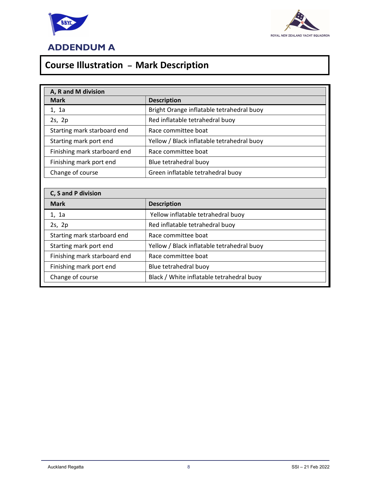



# Course Illustration – Mark Description

| A, R and M division          |                                            |  |  |  |
|------------------------------|--------------------------------------------|--|--|--|
| <b>Mark</b>                  | <b>Description</b>                         |  |  |  |
| 1, 1a                        | Bright Orange inflatable tetrahedral buoy  |  |  |  |
| 2s, 2p                       | Red inflatable tetrahedral buoy            |  |  |  |
| Starting mark starboard end  | Race committee boat                        |  |  |  |
| Starting mark port end       | Yellow / Black inflatable tetrahedral buoy |  |  |  |
| Finishing mark starboard end | Race committee boat                        |  |  |  |
| Finishing mark port end      | Blue tetrahedral buoy                      |  |  |  |
| Change of course             | Green inflatable tetrahedral buoy          |  |  |  |
|                              |                                            |  |  |  |
| C, S and P division          |                                            |  |  |  |
| <b>Mark</b>                  | <b>Description</b>                         |  |  |  |
| 1, 1a                        | Yellow inflatable tetrahedral buoy         |  |  |  |
| 2s, 2p                       | Red inflatable tetrahedral buoy            |  |  |  |
| Starting mark starboard end  | Race committee boat                        |  |  |  |
| Starting mark port end       | Yellow / Black inflatable tetrahedral buoy |  |  |  |
| Finishing mark starboard end | Race committee boat                        |  |  |  |
| Finishing mark port end      | Blue tetrahedral buoy                      |  |  |  |
| Change of course             | Black / White inflatable tetrahedral buoy  |  |  |  |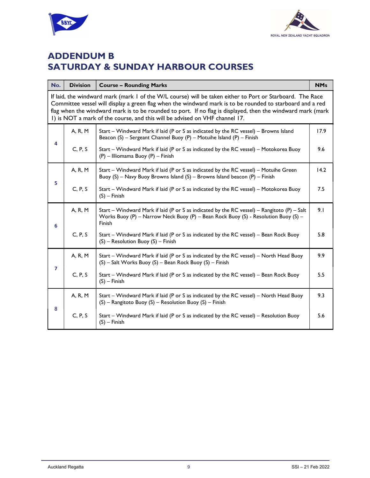



# ADDENDUM B SATURDAY & SUNDAY HARBOUR COURSES

| No.            | <b>Division</b>                                                                                                                                                                                                                                                                                                                                                                                                      | <b>Course - Rounding Marks</b>                                                                                                                                                              |      |  |  |
|----------------|----------------------------------------------------------------------------------------------------------------------------------------------------------------------------------------------------------------------------------------------------------------------------------------------------------------------------------------------------------------------------------------------------------------------|---------------------------------------------------------------------------------------------------------------------------------------------------------------------------------------------|------|--|--|
|                | If laid, the windward mark (mark 1 of the W/L course) will be taken either to Port or Starboard. The Race<br>Committee vessel will display a green flag when the windward mark is to be rounded to starboard and a red<br>flag when the windward mark is to be rounded to port. If no flag is displayed, then the windward mark (mark<br>I) is NOT a mark of the course, and this will be advised on VHF channel 17. |                                                                                                                                                                                             |      |  |  |
| 4              | A, R, M                                                                                                                                                                                                                                                                                                                                                                                                              | Start - Windward Mark if laid (P or S as indicated by the RC vessel) - Browns Island<br>Beacon (S) - Sergeant Channel Buoy (P) - Motuihe Island (P) - Finish                                |      |  |  |
|                | C, P, S                                                                                                                                                                                                                                                                                                                                                                                                              | Start - Windward Mark if laid (P or S as indicated by the RC vessel) - Motokorea Buoy<br>(P) - Illiomama Buoy (P) - Finish                                                                  | 9.6  |  |  |
| 5              | A, R, M                                                                                                                                                                                                                                                                                                                                                                                                              | Start - Windward Mark if laid (P or S as indicated by the RC vessel) - Motuihe Green<br>Buoy (S) - Navy Buoy Browns Island (S) - Browns Island beacon (P) - Finish                          | 14.2 |  |  |
|                | C, P, S                                                                                                                                                                                                                                                                                                                                                                                                              | Start - Windward Mark if laid (P or S as indicated by the RC vessel) - Motokorea Buoy<br>$(S)$ – Finish                                                                                     | 7.5  |  |  |
| 6              | A, R, M                                                                                                                                                                                                                                                                                                                                                                                                              | Start - Windward Mark if laid (P or S as indicated by the RC vessel) - Rangitoto (P) - Salt<br>Works Buoy (P) - Narrow Neck Buoy (P) - Bean Rock Buoy (S) - Resolution Buoy (S) -<br>Finish | 9.1  |  |  |
|                | C, P, S                                                                                                                                                                                                                                                                                                                                                                                                              | Start - Windward Mark if laid (P or S as indicated by the RC vessel) - Bean Rock Buoy<br>(S) - Resolution Buoy (S) - Finish                                                                 | 5.8  |  |  |
| $\overline{7}$ | A, R, M                                                                                                                                                                                                                                                                                                                                                                                                              | Start - Windward Mark if laid (P or S as indicated by the RC vessel) - North Head Buoy<br>(S) - Salt Works Buoy (S) - Bean Rock Buoy (S) - Finish                                           | 9.9  |  |  |
|                | C, P, S                                                                                                                                                                                                                                                                                                                                                                                                              | Start - Windward Mark if laid (P or S as indicated by the RC vessel) - Bean Rock Buoy<br>$(S)$ – Finish                                                                                     | 5.5  |  |  |
| 8              | A, R, M                                                                                                                                                                                                                                                                                                                                                                                                              | Start - Windward Mark if laid (P or S as indicated by the RC vessel) - North Head Buoy<br>(S) - Rangitoto Buoy (S) - Resolution Buoy (S) - Finish                                           | 9.3  |  |  |
|                | C, P, S                                                                                                                                                                                                                                                                                                                                                                                                              | Start - Windward Mark if laid (P or S as indicated by the RC vessel) - Resolution Buoy<br>$(S)$ – Finish                                                                                    | 5.6  |  |  |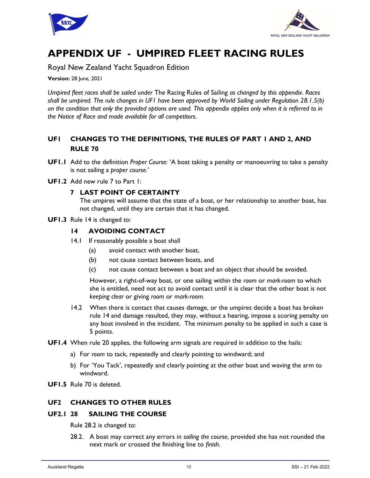



# APPENDIX UF - UMPIRED FLEET RACING RULES

Royal New Zealand Yacht Squadron Edition

**Version: 28 June, 2021** 

Umpired fleet races shall be sailed under The Racing Rules of Sailing as changed by this appendix. Races shall be umpired. The rule changes in UF1 have been approved by World Sailing under Regulation 28.1.5(b) on the condition that only the provided options are used. This appendix applies only when it is referred to in the Notice of Race and made available for all competitors.

### UF1 CHANGES TO THE DEFINITIONS, THE RULES OF PART 1 AND 2, AND RULE 70

- UF1.1 Add to the definition Proper Course: 'A boat taking a penalty or manoeuvring to take a penalty is not sailing a proper course.'
- UF1.2 Add new rule 7 to Part 1:

#### 7 LAST POINT OF CERTAINTY

The umpires will assume that the state of a boat, or her relationship to another boat, has not changed, until they are certain that it has changed.

UF1.3 Rule 14 is changed to:

#### 14 AVOIDING CONTACT

- 14.1 If reasonably possible a boat shall
	- (a) avoid contact with another boat,
	- (b) not cause contact between boats, and
	- (c) not cause contact between a boat and an object that should be avoided.

 However, a right-of-way boat, or one sailing within the room or mark-room to which she is entitled, need not act to avoid contact until it is clear that the other boat is not keeping clear or giving room or mark-room.

- 14.2 When there is contact that causes damage, or the umpires decide a boat has broken rule 14 and damage resulted, they may, without a hearing, impose a scoring penalty on any boat involved in the incident. The minimum penalty to be applied in such a case is 5 points.
- UF1.4 When rule 20 applies, the following arm signals are required in addition to the hails:
	- a) For room to tack, repeatedly and clearly pointing to windward; and
	- b) For 'You Tack', repeatedly and clearly pointing at the other boat and waving the arm to windward.
- UF1.5 Rule 70 is deleted.

#### UF2 CHANGES TO OTHER RULES

#### UF2.1 28 SAILING THE COURSE

Rule 28.2 is changed to:

28.2. A boat may correct any errors in sailing the course, provided she has not rounded the next mark or crossed the finishing line to finish.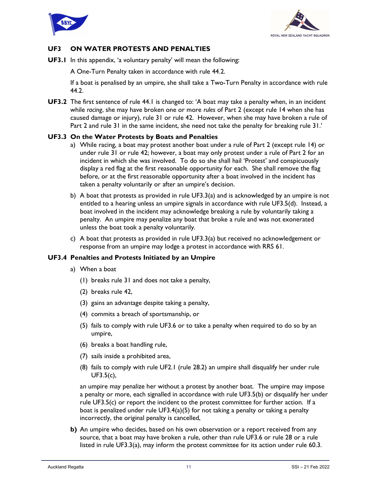



#### UF3 ON WATER PROTESTS AND PENALTIES

UF3.1 In this appendix, 'a voluntary penalty' will mean the following:

A One-Turn Penalty taken in accordance with rule 44.2.

If a boat is penalised by an umpire, she shall take a Two-Turn Penalty in accordance with rule 44.2.

**UF3.2** The first sentence of rule 44.1 is changed to: 'A boat may take a penalty when, in an incident while racing, she may have broken one or more rules of Part 2 (except rule 14 when she has caused damage or injury), rule 31 or rule 42. However, when she may have broken a rule of Part 2 and rule 31 in the same incident, she need not take the penalty for breaking rule 31.'

#### UF3.3 On the Water Protests by Boats and Penalties

- a) While racing, a boat may protest another boat under a rule of Part 2 (except rule 14) or under rule 31 or rule 42; however, a boat may only protest under a rule of Part 2 for an incident in which she was involved. To do so she shall hail 'Protest' and conspicuously display a red flag at the first reasonable opportunity for each. She shall remove the flag before, or at the first reasonable opportunity after a boat involved in the incident has taken a penalty voluntarily or after an umpire's decision.
- b) A boat that protests as provided in rule UF3.3(a) and is acknowledged by an umpire is not entitled to a hearing unless an umpire signals in accordance with rule UF3.5(d). Instead, a boat involved in the incident may acknowledge breaking a rule by voluntarily taking a penalty. An umpire may penalize any boat that broke a rule and was not exonerated unless the boat took a penalty voluntarily.
- c) A boat that protests as provided in rule UF3.3(a) but received no acknowledgement or response from an umpire may lodge a protest in accordance with RRS 61.

#### UF3.4 Penalties and Protests Initiated by an Umpire

- a) When a boat
	- (1) breaks rule 31 and does not take a penalty,
	- (2) breaks rule 42,
	- (3) gains an advantage despite taking a penalty,
	- (4) commits a breach of sportsmanship, or
	- (5) fails to comply with rule UF3.6 or to take a penalty when required to do so by an umpire,
	- (6) breaks a boat handling rule,
	- (7) sails inside a prohibited area,
	- (8) fails to comply with rule UF2.1 (rule 28.2) an umpire shall disqualify her under rule UF3.5(c),

an umpire may penalize her without a protest by another boat. The umpire may impose a penalty or more, each signalled in accordance with rule UF3.5(b) or disqualify her under rule UF3.5(c) or report the incident to the protest committee for further action. If a boat is penalized under rule UF3.4(a)(5) for not taking a penalty or taking a penalty incorrectly, the original penalty is cancelled,

b) An umpire who decides, based on his own observation or a report received from any source, that a boat may have broken a rule, other than rule UF3.6 or rule 28 or a rule listed in rule UF3.3(a), may inform the protest committee for its action under rule 60.3.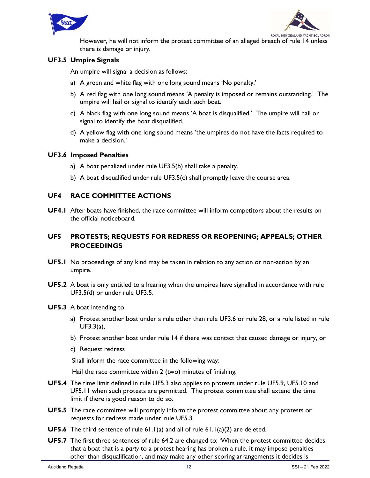



However, he will not inform the protest committee of an alleged breach of rule 14 unless there is damage or injury.

#### UF3.5 Umpire Signals

An umpire will signal a decision as follows:

- a) A green and white flag with one long sound means 'No penalty.'
- b) A red flag with one long sound means 'A penalty is imposed or remains outstanding.' The umpire will hail or signal to identify each such boat.
- c) A black flag with one long sound means 'A boat is disqualified.' The umpire will hail or signal to identify the boat disqualified.
- d) A yellow flag with one long sound means 'the umpires do not have the facts required to make a decision.'

#### UF3.6 Imposed Penalties

- a) A boat penalized under rule UF3.5(b) shall take a penalty.
- b) A boat disqualified under rule UF3.5(c) shall promptly leave the course area.

#### UF4 RACE COMMITTEE ACTIONS

UF4.1 After boats have finished, the race committee will inform competitors about the results on the official noticeboard.

#### UF5 PROTESTS; REQUESTS FOR REDRESS OR REOPENING; APPEALS; OTHER **PROCEEDINGS**

- UF5.1 No proceedings of any kind may be taken in relation to any action or non-action by an umpire.
- UF5.2 A boat is only entitled to a hearing when the umpires have signalled in accordance with rule UF3.5(d) or under rule UF3.5.
- UF5.3 A boat intending to
	- a) Protest another boat under a rule other than rule UF3.6 or rule 28, or a rule listed in rule UF3.3(a),
	- b) Protest another boat under rule 14 if there was contact that caused damage or injury, or
	- c) Request redress

Shall inform the race committee in the following way:

Hail the race committee within 2 (two) minutes of finishing.

- UF5.4 The time limit defined in rule UF5.3 also applies to protests under rule UF5.9, UF5.10 and UF5.11 when such protests are permitted. The protest committee shall extend the time limit if there is good reason to do so.
- UF5.5 The race committee will promptly inform the protest committee about any protests or requests for redress made under rule UF5.3.
- **UF5.6** The third sentence of rule 61.1(a) and all of rule 61.1(a)(2) are deleted.
- UF5.7 The first three sentences of rule 64.2 are changed to: 'When the protest committee decides that a boat that is a party to a protest hearing has broken a rule, it may impose penalties other than disqualification, and may make any other scoring arrangements it decides is